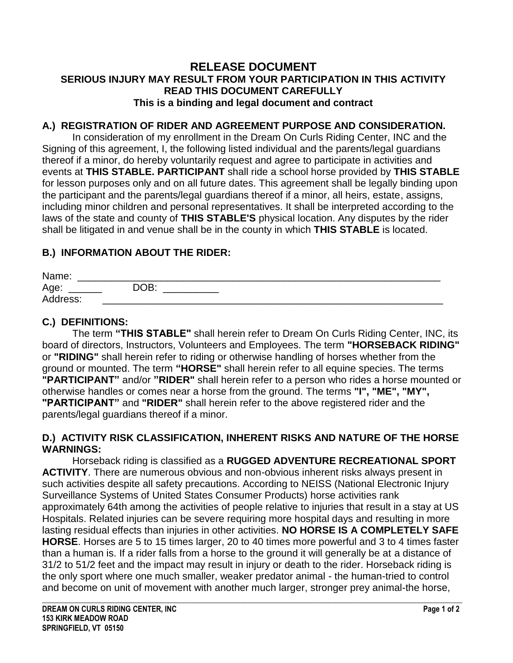#### **RELEASE DOCUMENT SERIOUS INJURY MAY RESULT FROM YOUR PARTICIPATION IN THIS ACTIVITY READ THIS DOCUMENT CAREFULLY This is a binding and legal document and contract**

#### **A.) REGISTRATION OF RIDER AND AGREEMENT PURPOSE AND CONSIDERATION.**

In consideration of my enrollment in the Dream On Curls Riding Center, INC and the Signing of this agreement, I, the following listed individual and the parents/legal guardians thereof if a minor, do hereby voluntarily request and agree to participate in activities and events at **THIS STABLE. PARTICIPANT** shall ride a school horse provided by **THIS STABLE** for lesson purposes only and on all future dates. This agreement shall be legally binding upon the participant and the parents/legal guardians thereof if a minor, all heirs, estate, assigns, including minor children and personal representatives. It shall be interpreted according to the laws of the state and county of **THIS STABLE'S** physical location. Any disputes by the rider shall be litigated in and venue shall be in the county in which **THIS STABLE** is located.

#### **B.) INFORMATION ABOUT THE RIDER:**

| Name:    |      |  |  |
|----------|------|--|--|
| Age:     | DOB: |  |  |
| Address: |      |  |  |

## **C.) DEFINITIONS:**

The term **"THIS STABLE"** shall herein refer to Dream On Curls Riding Center, INC, its board of directors, Instructors, Volunteers and Employees. The term **"HORSEBACK RIDING"**  or **"RIDING"** shall herein refer to riding or otherwise handling of horses whether from the ground or mounted. The term **"HORSE"** shall herein refer to all equine species. The terms **"PARTICIPANT"** and/or **"RIDER"** shall herein refer to a person who rides a horse mounted or otherwise handles or comes near a horse from the ground. The terms **"I", "ME", "MY", "PARTICIPANT"** and **"RIDER"** shall herein refer to the above registered rider and the parents/legal guardians thereof if a minor.

#### **D.) ACTIVITY RISK CLASSIFICATION, INHERENT RISKS AND NATURE OF THE HORSE WARNINGS:**

Horseback riding is classified as a **RUGGED ADVENTURE RECREATIONAL SPORT ACTIVITY**. There are numerous obvious and non-obvious inherent risks always present in such activities despite all safety precautions. According to NEISS (National Electronic Injury Surveillance Systems of United States Consumer Products) horse activities rank approximately 64th among the activities of people relative to injuries that result in a stay at US Hospitals. Related injuries can be severe requiring more hospital days and resulting in more lasting residual effects than injuries in other activities. **NO HORSE IS A COMPLETELY SAFE HORSE**. Horses are 5 to 15 times larger, 20 to 40 times more powerful and 3 to 4 times faster than a human is. If a rider falls from a horse to the ground it will generally be at a distance of 31/2 to 51/2 feet and the impact may result in injury or death to the rider. Horseback riding is the only sport where one much smaller, weaker predator animal - the human-tried to control and become on unit of movement with another much larger, stronger prey animal-the horse,